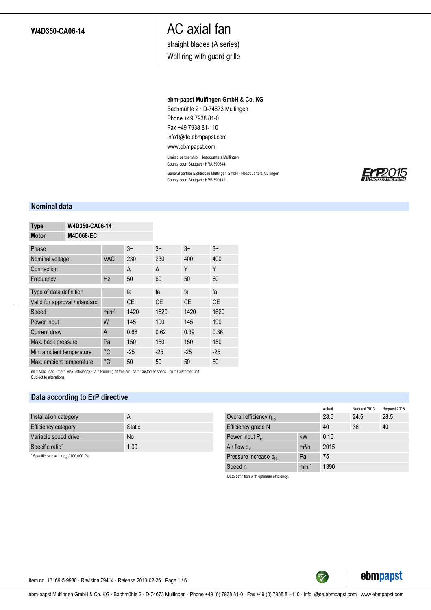## **W4D350-CA06-14**

# AC axial fan

straight blades (A series)

Wall ring with guard grille

### **ebm-papst Mulfingen GmbH & Co. KG**

Bachmühle 2 · D-74673 Mulfingen Phone +49 7938 81-0 Fax +49 7938 81-110 info1@de.ebmpapst.com

## www.ebmpapst.com

Limited partnership · Headquarters Mulfingen County court Stuttgart · HRA 590344

General partner Elektrobau Mulfingen GmbH · Headquarters Mulfingen County court Stuttgart · HRB 590142



### **Nominal data**

| <b>Type</b>                   | W4D350-CA06-14   |             |           |           |           |           |
|-------------------------------|------------------|-------------|-----------|-----------|-----------|-----------|
| <b>Motor</b>                  | <b>M4D068-EC</b> |             |           |           |           |           |
| Phase                         |                  |             | $3-$      | $3-$      | $3-$      | $3-$      |
| Nominal voltage               |                  | <b>VAC</b>  | 230       | 230       | 400       | 400       |
| Connection                    |                  |             | Δ         | Δ         | Y         | Υ         |
| Frequency                     |                  | Hz          | 50        | 60        | 50        | 60        |
| Type of data definition       |                  |             | fa        | fa        | fa        | fa        |
| Valid for approval / standard |                  |             | <b>CE</b> | <b>CE</b> | <b>CE</b> | <b>CE</b> |
| Speed                         |                  | $min-1$     | 1420      | 1620      | 1420      | 1620      |
| Power input                   |                  | W           | 145       | 190       | 145       | 190       |
| Current draw                  |                  | A           | 0.68      | 0.62      | 0.39      | 0.36      |
| Max. back pressure            |                  | Pa          | 150       | 150       | 150       | 150       |
| Min. ambient temperature      |                  | $^{\circ}C$ | $-25$     | $-25$     | $-25$     | $-25$     |
| Max. ambient temperature      |                  | °C          | 50        | 50        | 50        | 50        |

ml = Max. load · me = Max. efficiency · fa = Running at free air · cs = Customer specs · cu = Customer unit Subject to alterations

## **Data according to ErP directive**

| Installation category                      | A             |
|--------------------------------------------|---------------|
| <b>Efficiency category</b>                 | <b>Static</b> |
| Variable speed drive                       | <b>No</b>     |
| Specific ratio*                            | 1.00          |
| Specific ratio = $1 + p_{fs}$ / 100 000 Pa |               |

|                         |         | Actual | Request 2013 | Request 2015 |
|-------------------------|---------|--------|--------------|--------------|
| Overall efficiency nes  |         | 28.5   | 24.5         | 28.5         |
| Efficiency grade N      |         | 40     | 36           | 40           |
| Power input $P_{\rm e}$ | kW      | 0.15   |              |              |
| Air flow $q_v$          | $m^3/h$ | 2015   |              |              |
| Pressure increase pfs   | Pa      | 75     |              |              |
| Speed n                 | $min-1$ | 1390   |              |              |

TECH

Data definition with optimum efficiency.



Item no. 13169-5-9980 · Revision 79414 · Release 2013-02-26 · Page 1 / 6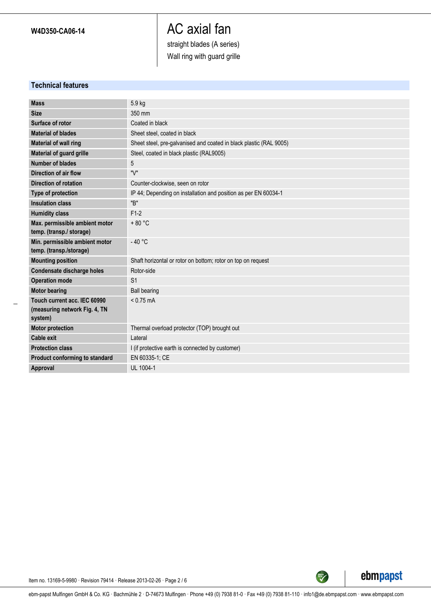## AC axial fan straight blades (A series) Wall ring with guard grille

**Technical features**

| <b>Mass</b>                    | 5.9 kg                                                             |
|--------------------------------|--------------------------------------------------------------------|
| <b>Size</b>                    | 350 mm                                                             |
| Surface of rotor               | Coated in black                                                    |
| <b>Material of blades</b>      | Sheet steel, coated in black                                       |
| Material of wall ring          | Sheet steel, pre-galvanised and coated in black plastic (RAL 9005) |
| Material of guard grille       | Steel, coated in black plastic (RAL9005)                           |
| Number of blades               | 5                                                                  |
| Direction of air flow          | "V"                                                                |
| <b>Direction of rotation</b>   | Counter-clockwise, seen on rotor                                   |
| Type of protection             | IP 44; Depending on installation and position as per EN 60034-1    |
| <b>Insulation class</b>        | "B"                                                                |
| <b>Humidity class</b>          | $F1-2$                                                             |
| Max. permissible ambient motor | $+80 °C$                                                           |
| temp. (transp./ storage)       |                                                                    |
| Min. permissible ambient motor | $-40 °C$                                                           |
| temp. (transp./storage)        |                                                                    |
| <b>Mounting position</b>       | Shaft horizontal or rotor on bottom; rotor on top on request       |
| Condensate discharge holes     | Rotor-side                                                         |
| <b>Operation mode</b>          | S <sub>1</sub>                                                     |
| <b>Motor bearing</b>           | <b>Ball bearing</b>                                                |
| Touch current acc. IEC 60990   | $< 0.75$ mA                                                        |
| (measuring network Fig. 4, TN  |                                                                    |
| system)                        |                                                                    |
| <b>Motor protection</b>        | Thermal overload protector (TOP) brought out                       |
| <b>Cable exit</b>              | Lateral                                                            |
| <b>Protection class</b>        | I (if protective earth is connected by customer)                   |
| Product conforming to standard | EN 60335-1; CE                                                     |
| Approval                       | UL 1004-1                                                          |



TECH

Item no. 13169-5-9980 · Revision 79414 · Release 2013-02-26 · Page 2 / 6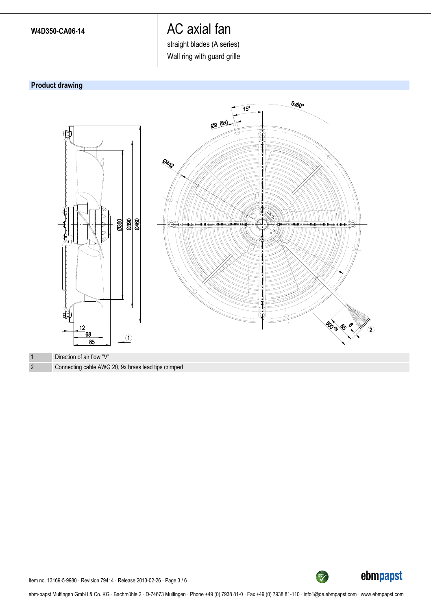straight blades (A series)

Wall ring with guard grille

## **Product drawing**





**GREEN** 

Item no. 13169-5-9980 · Revision 79414 · Release 2013-02-26 · Page 3 / 6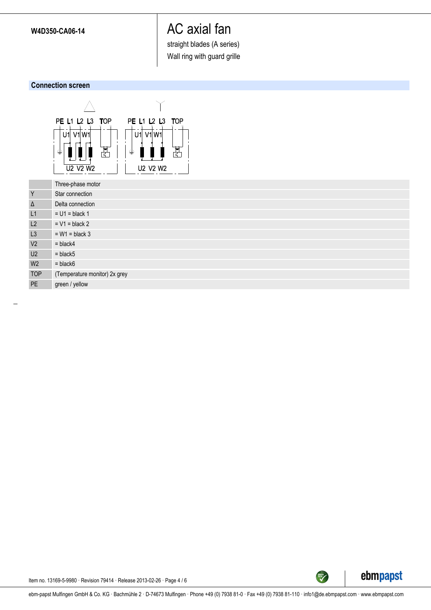straight blades (A series)

Wall ring with guard grille

## **Connection screen**



|                | Three-phase motor             |
|----------------|-------------------------------|
| Y              | Star connection               |
| Δ              | Delta connection              |
| L1             | $= U1 = black 1$              |
| L2             | $= V1 = black 2$              |
| L <sub>3</sub> | $= W1 = black 3$              |
| V <sub>2</sub> | $=$ black4                    |
| U2             | $=$ black $5$                 |
| W <sub>2</sub> | $=$ black $6$                 |
| <b>TOP</b>     | (Temperature monitor) 2x grey |
| <b>PE</b>      | green / yellow                |

ebmpapst

TECH

Item no. 13169-5-9980 · Revision 79414 · Release 2013-02-26 · Page 4 / 6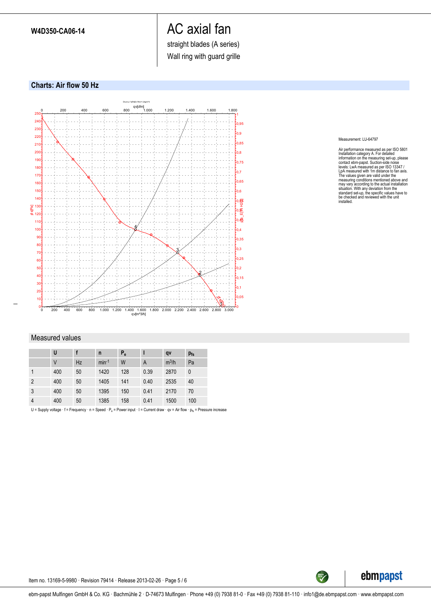straight blades (A series)

Wall ring with guard grille

## **Charts: Air flow 50 Hz**



#### Measurement: LU-64797

Air performance measured as per ISO 5801<br>Installation category A. For detailed inclonediation and information on the measuring set-up, please<br>contact ebrn-papst. Suction-side noise<br>levels: LwA measured as per ISO 13347 /<br>L

### Measured values

|                | U   |    | n       | $P_e$ |                | qv      | $p_{fs}$ |
|----------------|-----|----|---------|-------|----------------|---------|----------|
|                | V   | Hz | $min-1$ | W     | $\overline{A}$ | $m^3/h$ | Pa       |
|                | 400 | 50 | 1420    | 128   | 0.39           | 2870    | 0        |
| $\overline{2}$ | 400 | 50 | 1405    | 141   | 0.40           | 2535    | 40       |
| 3              | 400 | 50 | 1395    | 150   | 0.41           | 2170    | 70       |
| 4              | 400 | 50 | 1385    | 158   | 0.41           | 1500    | 100      |

U = Supply voltage  $\cdot f$  = Frequency  $\cdot$  n = Speed  $\cdot P_e$  = Power input  $\cdot$  I = Current draw  $\cdot$  qv = Air flow  $\cdot$   $p_{fs}$  = Pressure increase



Item no. 13169-5-9980 · Revision 79414 · Release 2013-02-26 · Page 5 / 6